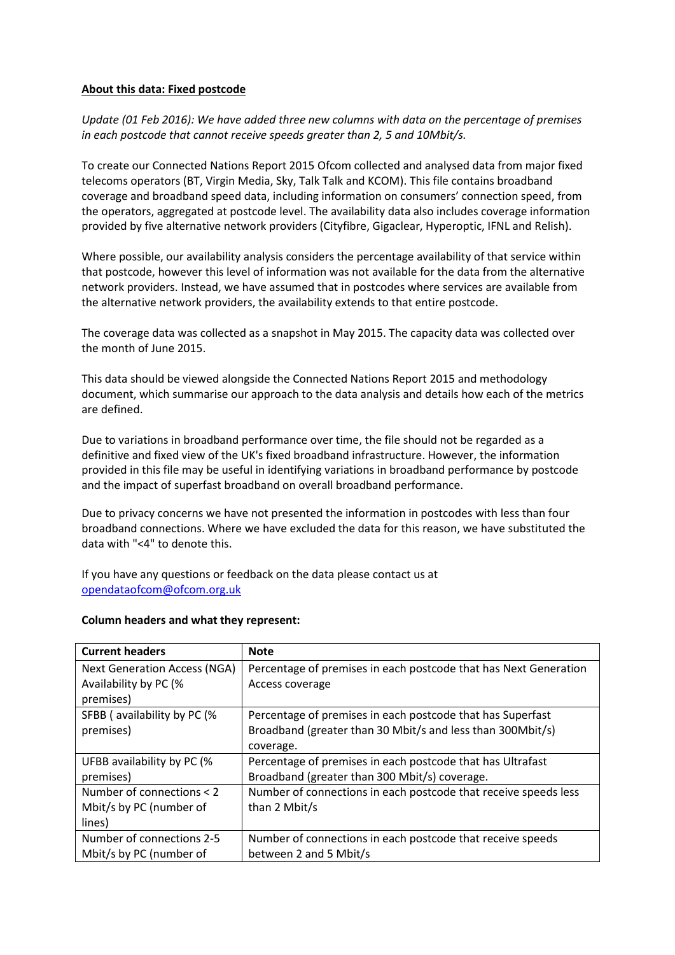## **About this data: Fixed postcode**

*Update (01 Feb 2016): We have added three new columns with data on the percentage of premises in each postcode that cannot receive speeds greater than 2, 5 and 10Mbit/s.*

To create our Connected Nations Report 2015 Ofcom collected and analysed data from major fixed telecoms operators (BT, Virgin Media, Sky, Talk Talk and KCOM). This file contains broadband coverage and broadband speed data, including information on consumers' connection speed, from the operators, aggregated at postcode level. The availability data also includes coverage information provided by five alternative network providers (Cityfibre, Gigaclear, Hyperoptic, IFNL and Relish).

Where possible, our availability analysis considers the percentage availability of that service within that postcode, however this level of information was not available for the data from the alternative network providers. Instead, we have assumed that in postcodes where services are available from the alternative network providers, the availability extends to that entire postcode.

The coverage data was collected as a snapshot in May 2015. The capacity data was collected over the month of June 2015.

This data should be viewed alongside the Connected Nations Report 2015 and methodology document, which summarise our approach to the data analysis and details how each of the metrics are defined.

Due to variations in broadband performance over time, the file should not be regarded as a definitive and fixed view of the UK's fixed broadband infrastructure. However, the information provided in this file may be useful in identifying variations in broadband performance by postcode and the impact of superfast broadband on overall broadband performance.

Due to privacy concerns we have not presented the information in postcodes with less than four broadband connections. Where we have excluded the data for this reason, we have substituted the data with "<4" to denote this.

If you have any questions or feedback on the data please contact us at [opendataofcom@ofcom.org.uk](mailto:opendataofcom@ofcom.org.uk)

## **Column headers and what they represent:**

| <b>Current headers</b>              | <b>Note</b>                                                      |
|-------------------------------------|------------------------------------------------------------------|
| <b>Next Generation Access (NGA)</b> | Percentage of premises in each postcode that has Next Generation |
| Availability by PC (%               | Access coverage                                                  |
| premises)                           |                                                                  |
| SFBB (availability by PC (%         | Percentage of premises in each postcode that has Superfast       |
| premises)                           | Broadband (greater than 30 Mbit/s and less than 300Mbit/s)       |
|                                     | coverage.                                                        |
| UFBB availability by PC (%          | Percentage of premises in each postcode that has Ultrafast       |
| premises)                           | Broadband (greater than 300 Mbit/s) coverage.                    |
| Number of connections < 2           | Number of connections in each postcode that receive speeds less  |
| Mbit/s by PC (number of             | than 2 Mbit/s                                                    |
| lines)                              |                                                                  |
| Number of connections 2-5           | Number of connections in each postcode that receive speeds       |
| Mbit/s by PC (number of             | between 2 and 5 Mbit/s                                           |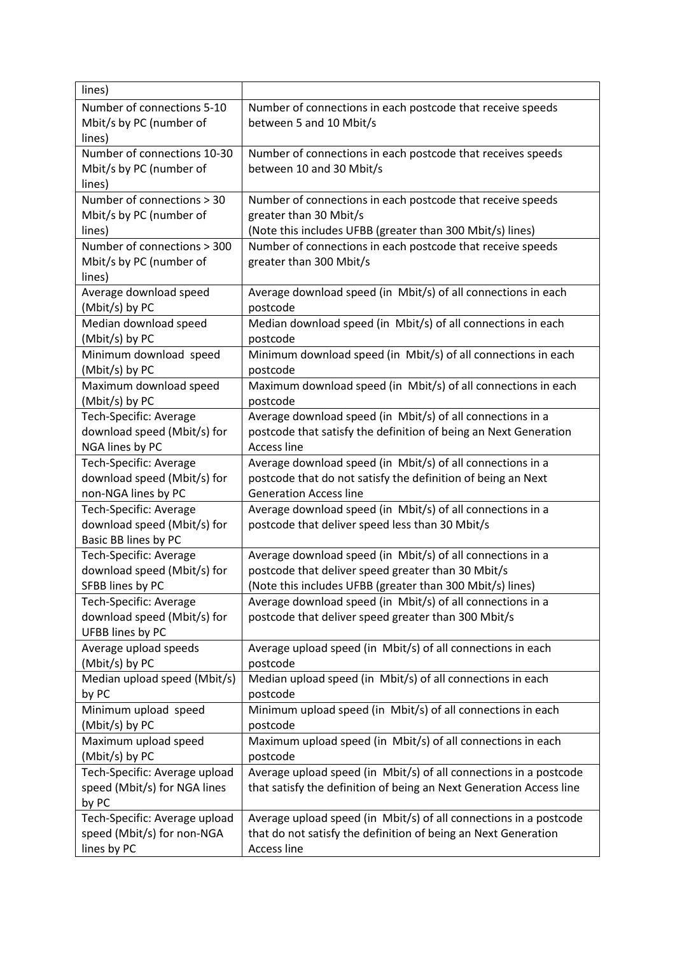| lines)                        |                                                                     |
|-------------------------------|---------------------------------------------------------------------|
| Number of connections 5-10    | Number of connections in each postcode that receive speeds          |
| Mbit/s by PC (number of       | between 5 and 10 Mbit/s                                             |
| lines)                        |                                                                     |
| Number of connections 10-30   | Number of connections in each postcode that receives speeds         |
| Mbit/s by PC (number of       | between 10 and 30 Mbit/s                                            |
| lines)                        |                                                                     |
| Number of connections > 30    | Number of connections in each postcode that receive speeds          |
| Mbit/s by PC (number of       | greater than 30 Mbit/s                                              |
| lines)                        | (Note this includes UFBB (greater than 300 Mbit/s) lines)           |
| Number of connections > 300   | Number of connections in each postcode that receive speeds          |
| Mbit/s by PC (number of       | greater than 300 Mbit/s                                             |
| lines)                        |                                                                     |
| Average download speed        | Average download speed (in Mbit/s) of all connections in each       |
| (Mbit/s) by PC                | postcode                                                            |
| Median download speed         | Median download speed (in Mbit/s) of all connections in each        |
| (Mbit/s) by PC                | postcode                                                            |
| Minimum download speed        | Minimum download speed (in Mbit/s) of all connections in each       |
| (Mbit/s) by PC                | postcode                                                            |
| Maximum download speed        | Maximum download speed (in Mbit/s) of all connections in each       |
| (Mbit/s) by PC                | postcode                                                            |
| Tech-Specific: Average        | Average download speed (in Mbit/s) of all connections in a          |
| download speed (Mbit/s) for   | postcode that satisfy the definition of being an Next Generation    |
| NGA lines by PC               | Access line                                                         |
| <b>Tech-Specific: Average</b> | Average download speed (in Mbit/s) of all connections in a          |
| download speed (Mbit/s) for   | postcode that do not satisfy the definition of being an Next        |
| non-NGA lines by PC           | <b>Generation Access line</b>                                       |
| Tech-Specific: Average        | Average download speed (in Mbit/s) of all connections in a          |
| download speed (Mbit/s) for   | postcode that deliver speed less than 30 Mbit/s                     |
| Basic BB lines by PC          |                                                                     |
| Tech-Specific: Average        | Average download speed (in Mbit/s) of all connections in a          |
| download speed (Mbit/s) for   | postcode that deliver speed greater than 30 Mbit/s                  |
| SFBB lines by PC              | (Note this includes UFBB (greater than 300 Mbit/s) lines)           |
| <b>Tech-Specific: Average</b> | Average download speed (in Mbit/s) of all connections in a          |
| download speed (Mbit/s) for   | postcode that deliver speed greater than 300 Mbit/s                 |
| UFBB lines by PC              |                                                                     |
| Average upload speeds         | Average upload speed (in Mbit/s) of all connections in each         |
| (Mbit/s) by PC                | postcode                                                            |
| Median upload speed (Mbit/s)  | Median upload speed (in Mbit/s) of all connections in each          |
| by PC                         | postcode                                                            |
| Minimum upload speed          | Minimum upload speed (in Mbit/s) of all connections in each         |
| (Mbit/s) by PC                | postcode                                                            |
| Maximum upload speed          | Maximum upload speed (in Mbit/s) of all connections in each         |
| (Mbit/s) by PC                | postcode                                                            |
| Tech-Specific: Average upload | Average upload speed (in Mbit/s) of all connections in a postcode   |
| speed (Mbit/s) for NGA lines  | that satisfy the definition of being an Next Generation Access line |
| by PC                         |                                                                     |
| Tech-Specific: Average upload | Average upload speed (in Mbit/s) of all connections in a postcode   |
| speed (Mbit/s) for non-NGA    | that do not satisfy the definition of being an Next Generation      |
| lines by PC                   | Access line                                                         |